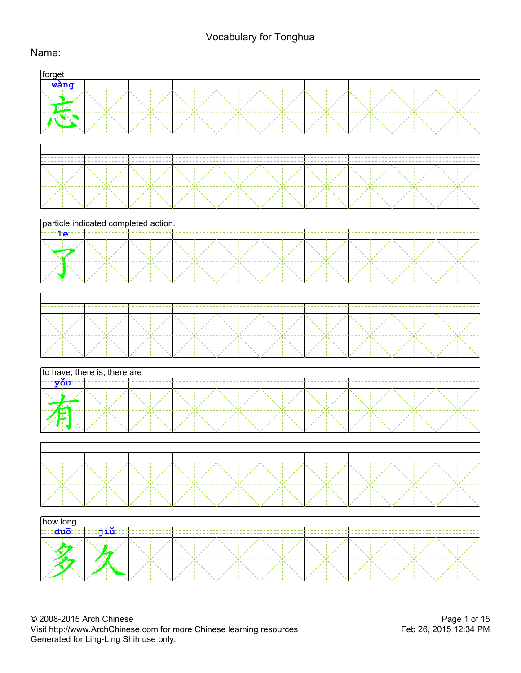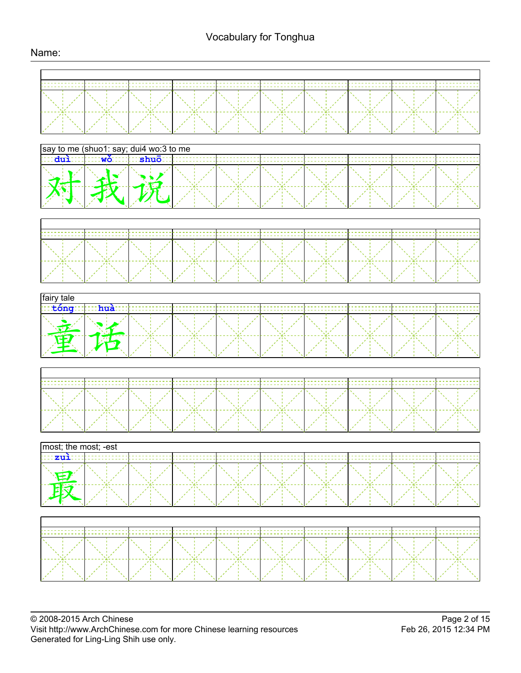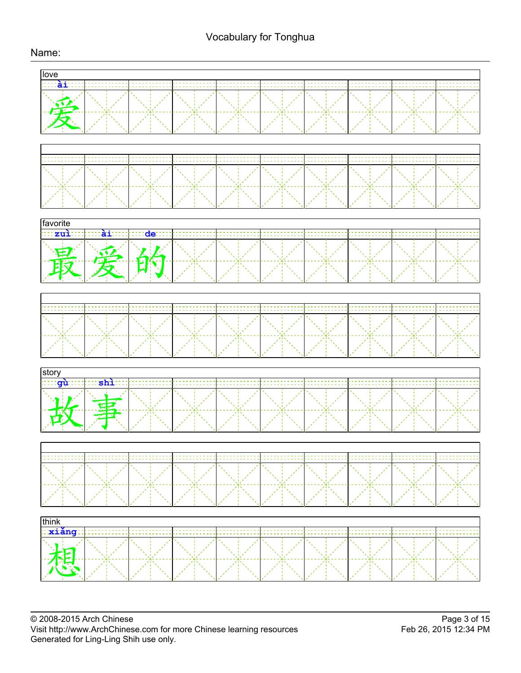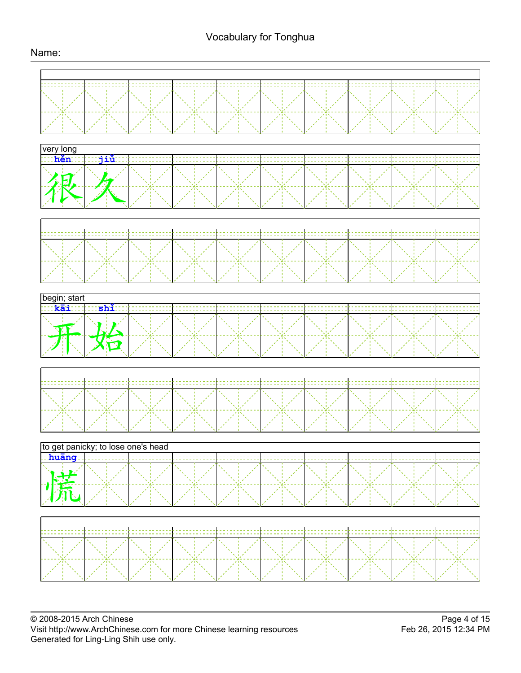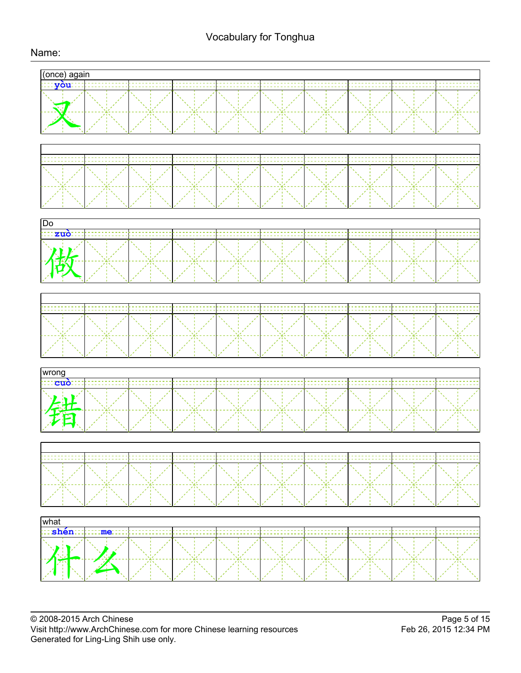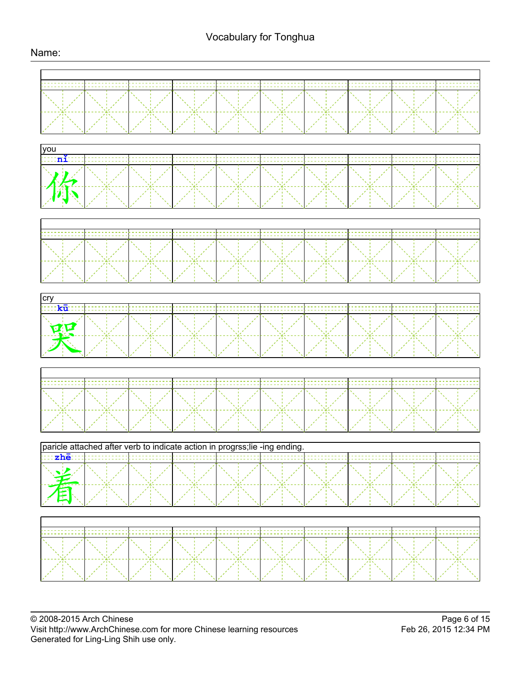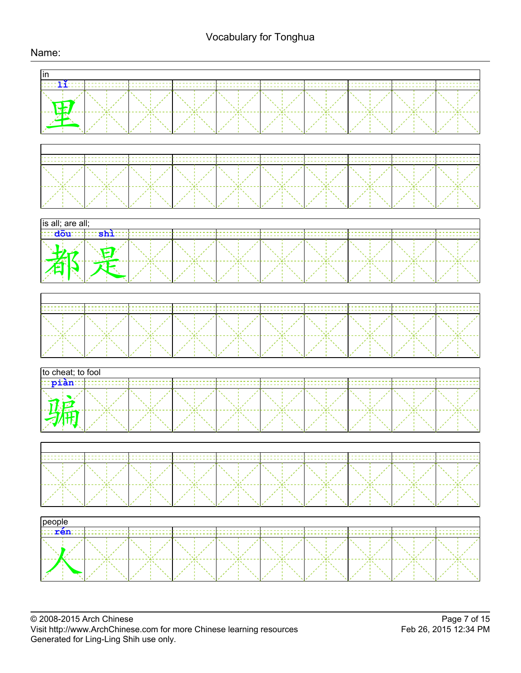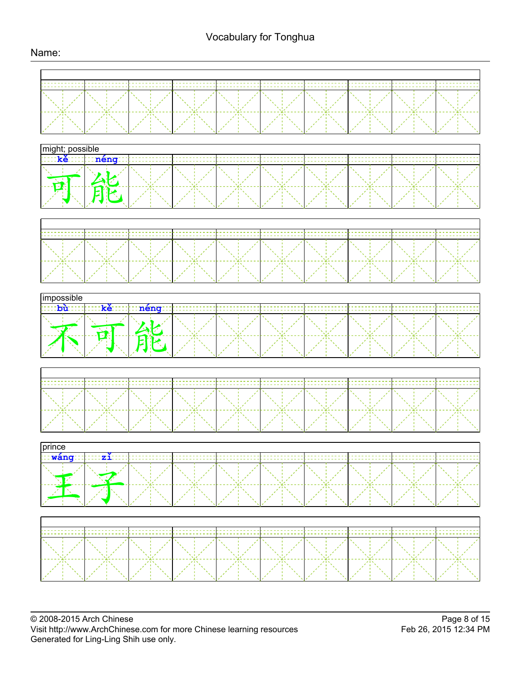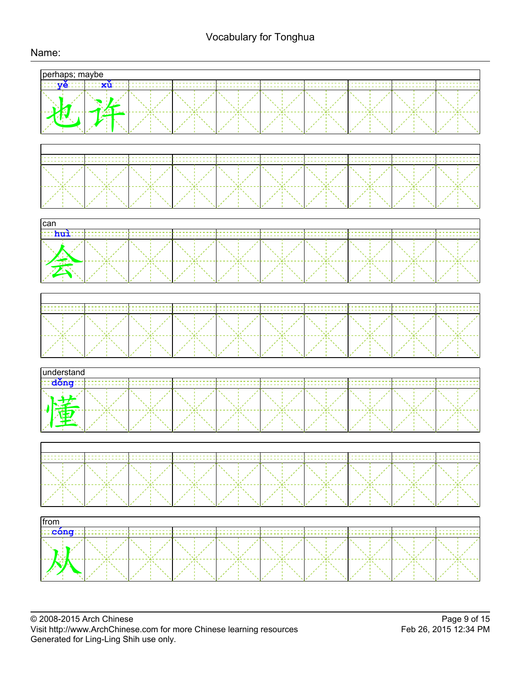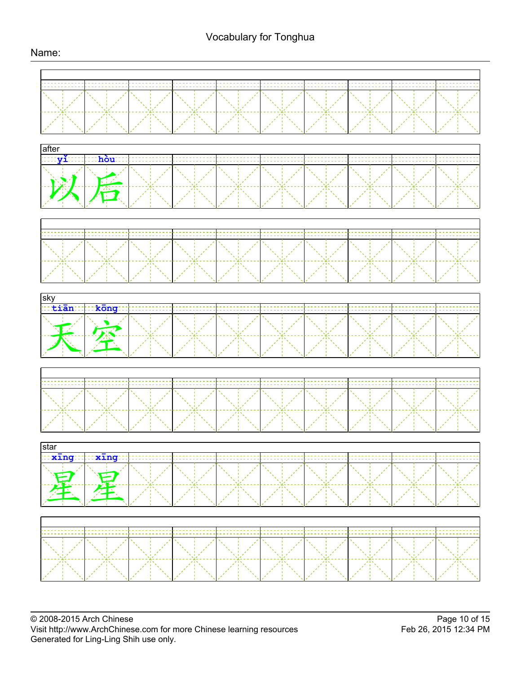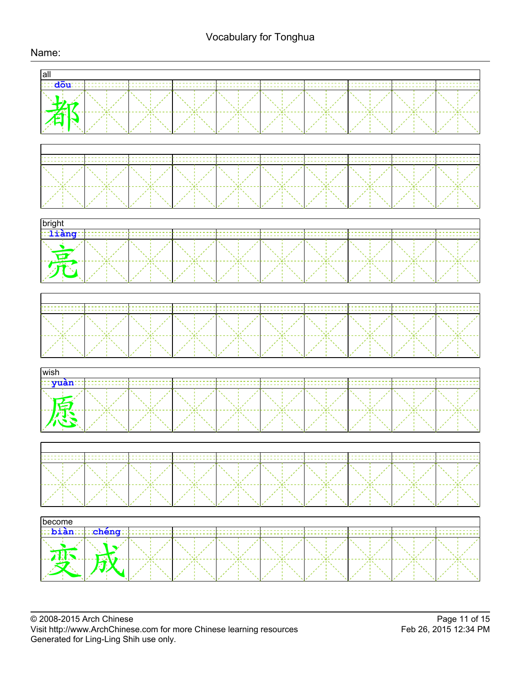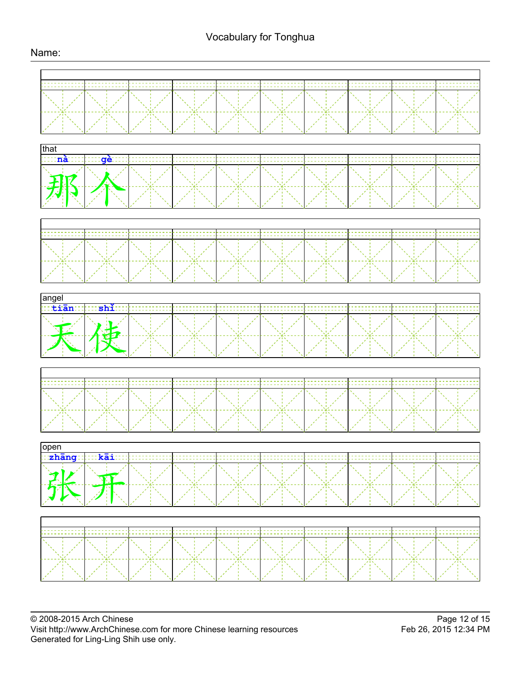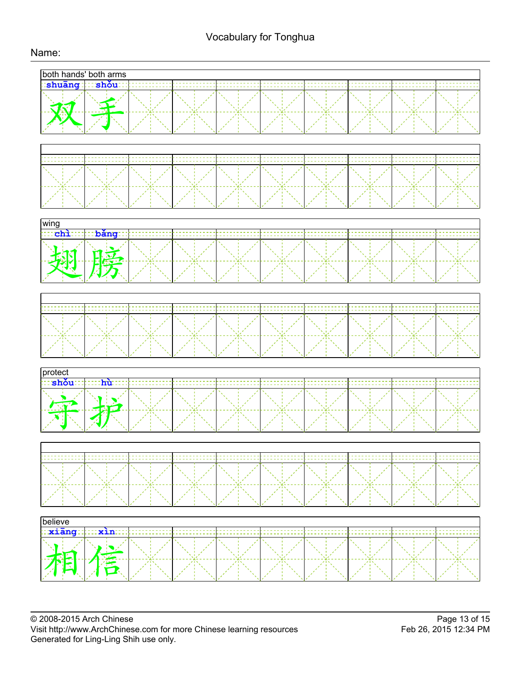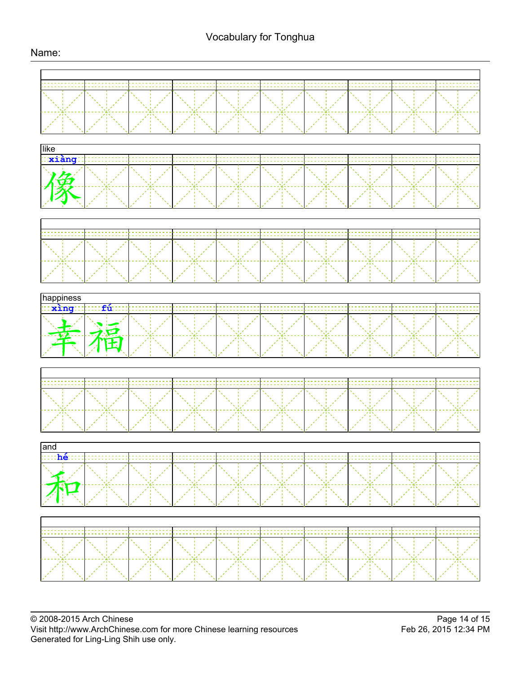